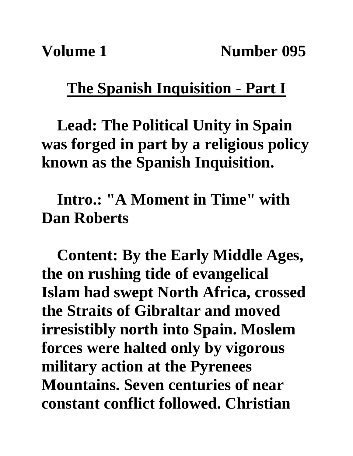## **The Spanish Inquisition - Part I**

**Lead: The Political Unity in Spain was forged in part by a religious policy known as the Spanish Inquisition.**

**Intro.: "A Moment in Time" with Dan Roberts**

**Content: By the Early Middle Ages, the on rushing tide of evangelical Islam had swept North Africa, crossed the Straits of Gibraltar and moved irresistibly north into Spain. Moslem forces were halted only by vigorous military action at the Pyrenees Mountains. Seven centuries of near constant conflict followed. Christian**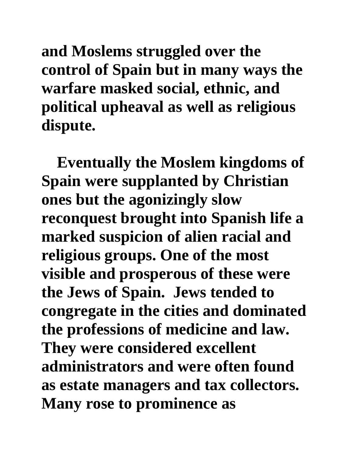**and Moslems struggled over the control of Spain but in many ways the warfare masked social, ethnic, and political upheaval as well as religious dispute.**

**Eventually the Moslem kingdoms of Spain were supplanted by Christian ones but the agonizingly slow reconquest brought into Spanish life a marked suspicion of alien racial and religious groups. One of the most visible and prosperous of these were the Jews of Spain. Jews tended to congregate in the cities and dominated the professions of medicine and law. They were considered excellent administrators and were often found as estate managers and tax collectors. Many rose to prominence as**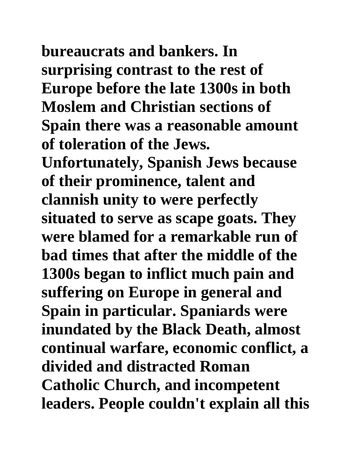**bureaucrats and bankers. In surprising contrast to the rest of Europe before the late 1300s in both Moslem and Christian sections of Spain there was a reasonable amount of toleration of the Jews.** 

**Unfortunately, Spanish Jews because of their prominence, talent and clannish unity to were perfectly situated to serve as scape goats. They were blamed for a remarkable run of bad times that after the middle of the 1300s began to inflict much pain and suffering on Europe in general and Spain in particular. Spaniards were inundated by the Black Death, almost continual warfare, economic conflict, a divided and distracted Roman Catholic Church, and incompetent leaders. People couldn't explain all this**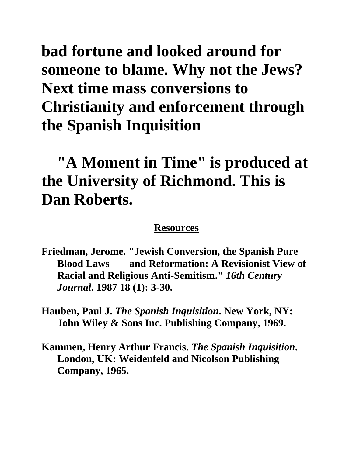**bad fortune and looked around for someone to blame. Why not the Jews? Next time mass conversions to Christianity and enforcement through the Spanish Inquisition**

## **"A Moment in Time" is produced at the University of Richmond. This is Dan Roberts.**

## **Resources**

- **Friedman, Jerome. "Jewish Conversion, the Spanish Pure Blood Laws and Reformation: A Revisionist View of Racial and Religious Anti-Semitism."** *16th Century Journal***. 1987 18 (1): 3-30.**
- **Hauben, Paul J.** *The Spanish Inquisition***. New York, NY: John Wiley & Sons Inc. Publishing Company, 1969.**
- **Kammen, Henry Arthur Francis.** *The Spanish Inquisition***. London, UK: Weidenfeld and Nicolson Publishing Company, 1965.**